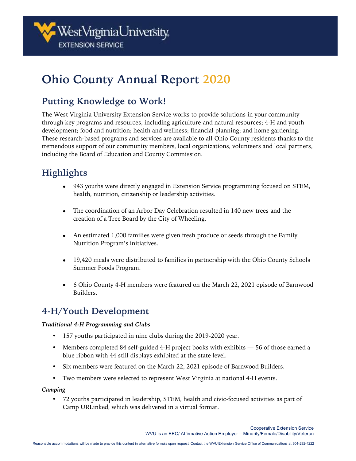

# **Ohio County Annual Report 2020**

## **Putting Knowledge to Work!**

The West Virginia University Extension Service works to provide solutions in your community through key programs and resources, including agriculture and natural resources; 4-H and youth development; food and nutrition; health and wellness; financial planning; and home gardening. These research-based programs and services are available to all Ohio County residents thanks to the tremendous support of our community members, local organizations, volunteers and local partners, including the Board of Education and County Commission.

# **Highlights**

- 943 youths were directly engaged in Extension Service programming focused on STEM, health, nutrition, citizenship or leadership activities.
- The coordination of an Arbor Day Celebration resulted in 140 new trees and the creation of a Tree Board by the City of Wheeling.
- An estimated 1,000 families were given fresh produce or seeds through the Family Nutrition Program's initiatives.
- 19,420 meals were distributed to families in partnership with the Ohio County Schools Summer Foods Program.
- 6 Ohio County 4-H members were featured on the March 22, 2021 episode of Barnwood Builders.

## **4-H/Youth Development**

### *Traditional 4-H Programming and Clubs*

- 157 youths participated in nine clubs during the 2019-2020 year.
- Members completed 84 self-guided 4-H project books with exhibits 56 of those earned a blue ribbon with 44 still displays exhibited at the state level.
- Six members were featured on the March 22, 2021 episode of Barnwood Builders.
- Two members were selected to represent West Virginia at national 4-H events.

### *Camping*

• 72 youths participated in leadership, STEM, health and civic-focused activities as part of Camp URLinked, which was delivered in a virtual format.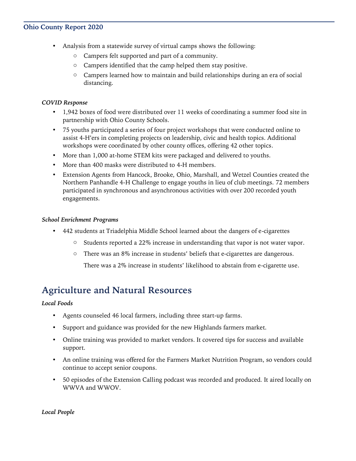### **Ohio County Report 2020**

- Analysis from a statewide survey of virtual camps shows the following:
	- o Campers felt supported and part of a community.
	- o Campers identified that the camp helped them stay positive.
	- o Campers learned how to maintain and build relationships during an era of social distancing.

### *COVID Response*

- 1,942 boxes of food were distributed over 11 weeks of coordinating a summer food site in partnership with Ohio County Schools.
- 75 youths participated a series of four project workshops that were conducted online to assist 4-H'ers in completing projects on leadership, civic and health topics. Additional workshops were coordinated by other county offices, offering 42 other topics.
- More than 1,000 at-home STEM kits were packaged and delivered to youths.
- More than 400 masks were distributed to 4-H members.
- Extension Agents from Hancock, Brooke, Ohio, Marshall, and Wetzel Counties created the Northern Panhandle 4-H Challenge to engage youths in lieu of club meetings. 72 members participated in synchronous and asynchronous activities with over 200 recorded youth engagements.

#### *School Enrichment Programs*

- 442 students at Triadelphia Middle School learned about the dangers of e-cigarettes
	- $\circ$  Students reported a 22% increase in understanding that vapor is not water vapor.
	- o There was an 8% increase in students' beliefs that e-cigarettes are dangerous.

There was a 2% increase in students' likelihood to abstain from e-cigarette use.

### **Agriculture and Natural Resources**

#### *Local Foods*

- Agents counseled 46 local farmers, including three start-up farms.
- Support and guidance was provided for the new Highlands farmers market.
- Online training was provided to market vendors. It covered tips for success and available support.
- An online training was offered for the Farmers Market Nutrition Program, so vendors could continue to accept senior coupons.
- 50 episodes of the Extension Calling podcast was recorded and produced. It aired locally on WWVA and WWOV.

#### *Local People*